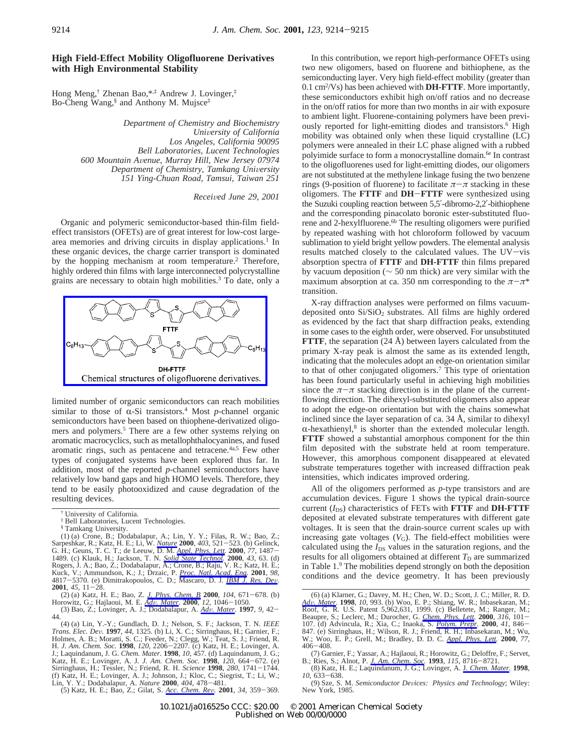## **High Field-Effect Mobility Oligofluorene Derivatives with High Environmental Stability**

Hong Meng,† Zhenan Bao,\*,‡ Andrew J. Lovinger,‡ Bo-Cheng Wang,§ and Anthony M. Mujsce‡

> *Department of Chemistry and Biochemistry Uni*V*ersity of California Los Angeles, California 90095 Bell Laboratories, Lucent Technologies 600 Mountain A*V*enue, Murray Hill, New Jersey 07974 Department of Chemistry, Tamkang University 151 Ying-Chuan Road, Tamsui, Taiwan 251*

> > *Recei*V*ed June 29, 2001*

Organic and polymeric semiconductor-based thin-film fieldeffect transistors (OFETs) are of great interest for low-cost largearea memories and driving circuits in display applications.<sup>1</sup> In these organic devices, the charge carrier transport is dominated by the hopping mechanism at room temperature.<sup>2</sup> Therefore, highly ordered thin films with large interconnected polycrystalline grains are necessary to obtain high mobilities.3 To date, only a



limited number of organic semiconductors can reach mobilities similar to those of  $\alpha$ -Si transistors.<sup>4</sup> Most *p*-channel organic semiconductors have been based on thiophene-derivatized oligomers and polymers.<sup>5</sup> There are a few other systems relying on aromatic macrocyclics, such as metallophthalocyanines, and fused aromatic rings, such as pentacene and tetracene.4a,5 Few other types of conjugated systems have been explored thus far. In addition, most of the reported *p*-channel semiconductors have relatively low band gaps and high HOMO levels. Therefore, they tend to be easily photooxidized and cause degradation of the resulting devices.

(5) Katz, H. E.; Bao, Z.; Gilat, S. *Acc. Chem. Re*V*.* **<sup>2001</sup>**, *<sup>34</sup>*, 359-369.

In this contribution, we report high-performance OFETs using two new oligomers, based on fluorene and bithiophene, as the semiconducting layer. Very high field-effect mobility (greater than 0.1 cm2 /Vs) has been achieved with **DH-FTTF**. More importantly, these semiconductors exhibit high on/off ratios and no decrease in the on/off ratios for more than two months in air with exposure to ambient light. Fluorene-containing polymers have been previously reported for light-emitting diodes and transistors.<sup>6</sup> High mobility was obtained only when these liquid crystalline (LC) polymers were annealed in their LC phase aligned with a rubbed polyimide surface to form a monocrystalline domain.<sup>6e</sup> In contrast to the oligofluorenes used for light-emitting diodes, our oligomers are not substituted at the methylene linkage fusing the two benzene rings (9-position of fluorene) to facilitate  $\pi-\pi$  stacking in these oligomers. The **FTTF** and **DH**-**FTTF** were synthesized using the Suzuki coupling reaction between 5,5′-dibromo-2,2′-bithiophene and the corresponding pinacolato boronic ester-substituted fluorene and 2-hexylfluorene.<sup>6b</sup> The resulting oligomers were purified by repeated washing with hot chloroform followed by vacuum sublimation to yield bright yellow powders. The elemental analysis results matched closely to the calculated values. The UV-vis absorption spectra of **FTTF** and **DH-FTTF** thin films prepared by vacuum deposition (∼ 50 nm thick) are very similar with the maximum absorption at ca. 350 nm corresponding to the  $\pi-\pi^*$ transition.

X-ray diffraction analyses were performed on films vacuumdeposited onto  $Si/SiO<sub>2</sub>$  substrates. All films are highly ordered as evidenced by the fact that sharp diffraction peaks, extending in some cases to the eighth order, were observed. For unsubstituted **FTTF**, the separation (24 Å) between layers calculated from the primary X-ray peak is almost the same as its extended length, indicating that the molecules adopt an edge-on orientation similar to that of other conjugated oligomers.7 This type of orientation has been found particularly useful in achieving high mobilities since the  $\pi-\pi$  stacking direction is in the plane of the currentflowing direction. The dihexyl-substituted oligomers also appear to adopt the edge-on orientation but with the chains somewhat inclined since the layer separation of ca. 34 Å, similar to dihexyl  $\alpha$ -hexathienyl,<sup>8</sup> is shorter than the extended molecular length. **FTTF** showed a substantial amorphous component for the thin film deposited with the substrate held at room temperature. However, this amorphous component disappeared at elevated substrate temperatures together with increased diffraction peak intensities, which indicates improved ordering.

All of the oligomers performed as *p*-type transistors and are accumulation devices. Figure 1 shows the typical drain-source current  $(I_{DS})$  characteristics of FETs with **FTTF** and **DH-FTTF** deposited at elevated substrate temperatures with different gate voltages. It is seen that the drain-source current scales up with increasing gate voltages  $(V_G)$ . The field-effect mobilities were calculated using the  $I_{DS}$  values in the saturation regions, and the results for all oligomers obtained at different  $T<sub>D</sub>$  are summarized in Table 1.9 The mobilities depend strongly on both the deposition conditions and the device geometry. It has been previously

<sup>†</sup> University of California.

<sup>‡</sup> Bell Laboratories, Lucent Technologies.

<sup>§</sup> Tamkang University.

<sup>(1) (</sup>a) Crone, B.; Dodabalapur, A.; Lin, Y. Y.; Filas, R. W.; Bao, Z.; Sarpeshkar, R.; Katz, H. E.; Li, W. *Nature* **2000**, 403, 521–523. (b) Gelinck, G. H.; Geuns, T. C. T.; de Leeuw, D. M. Appl. Phys. Lett. 2000, 77, 1487–1489. (c) Klauk, H.; Jackson, T. N. Solid State Technol. 2000, 77, 14 Kuck, V.; Ammundson, K.; J.; Drzaic, P. <u>Proc. Natl. Acad. Eng</u>. **2001**, 98, 4817–5370. (e) Dimitrakopoulos, C. D.; Mascaro, D. J. <u>IBM J. Res. Dev</u>. **2001**, 45, 11–28.<br>**2001**, 45, 11–28.<br>(2) (a) Katz. H. E.: Bao. Z. J. Ph

<sup>(2) (</sup>a) Katz, H. E.; Bao, Z. <u>J. Phys. Chem. B</u> **2000**, 104, 671–678. (b) Horowitz, G.; Hajlaoui, M. E. <u>Adv. Mater</u>. **2000**, 12, 1046–1050. (3) Bao, Z.; Lovinger, A. J.; Dodabalapur, A. <u>Adv. Mater</u>. **1997**, 9, 42–44.

<sup>44.</sup>

<sup>(4) (</sup>a) Lin, Y.-Y.; Gundlach, D. J.; Nelson, S. F.; Jackson, T. N. *IEEE* Trans. Elec. Dev. 1997, 44, 1325. (b) Li, X. C.; Sirringhaus, H.; Garnier, F.; Holmes, A. B.; Moratti, S. C.; Feeder, N.; Clegg, W.; Teat, S. J.; Friend, R. H. J. J. Am. Chem. R. O. 1998, 120, 2206–2207. (c) Katz, H. E.; L Katz, H. E.; Lovinger, A. J. *J. Am. Chem. Soc.* **<sup>1998</sup>**, *<sup>120</sup>*, 664-672. (e) Sirringhaus, H.; Tessler, N.; Friend, R. H. *Science* **<sup>1998</sup>**, *<sup>280</sup>*, 1741-1744. (f) Katz, H. E.; Lovinger, A. J.; Johnson, J.; Kloc, C.; Siegrist, T.; Li, W.; Lin, Y. Y.; Dodabalapur, A. *Nature* **<sup>2000</sup>**, *<sup>404</sup>*, 478-481.

<sup>(6) (</sup>a) Klarner, G.; Davey, M. H.; Chen, W. D.; Scott, J. C.; Miller, R. D.<br>*Adv. Mater*. **1998**, 10, 993. (b) Woo, E. P.; Shiang, W. R.; Inbasekaran, M.; Roof, G. R. U.S. Patent 5,962,631, 1999. (c) Belletete, M.; Ranger, Beaupre, S.; Leclerc, M.; Durocher, G. Chem. Phys. Lett. 2000, 316, 101-<br>107. (d) Advincula, R.; Xia, C.; Inaoka, S. Polym. Prepr. 2000, 41, 846–<br>847. (e) Sirringhaus, H.; Wilson, R. J.; Friend, R. H.; Inbasekaran, M.; Wu W.; Woo, E. P.; Grell, M.; Bradley, D. D. C. *Appl. Phys. Lett.* **<sup>2000</sup>**, *<sup>77</sup>*, <sup>406</sup>-408.

<sup>(7)</sup> Garnier, F.; Yassar, A.; Hajlaoui, R.; Horowitz, G.; Deloffre, F.; Servet,

B.; Ries, S.; Alnot, P. *J. Am. Chem. Soc.* **<sup>1993</sup>**, *<sup>115</sup>*, 8716-8721. (8) Katz, H. E.; Laquindanum, J. G.; Lovinger, A. J. *Chem. Mater.* **<sup>1998</sup>**, *<sup>10</sup>*, 633-638.

<sup>(9)</sup> Sze, S. M. *Semiconductor De*V*ices: Physics and Technology*; Wiley: New York, 1985.